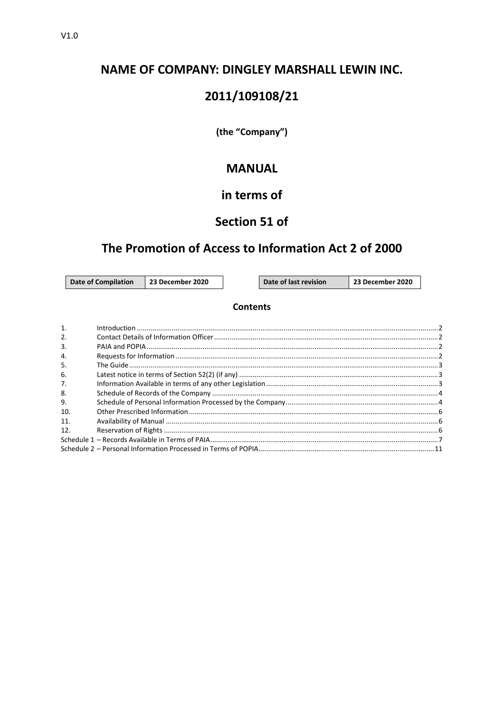# **NAME OF COMPANY: DINGLEY MARSHALL LEWIN INC.**

# 2011/109108/21

(the "Company")

# **MANUAL**

# in terms of

# Section 51 of

# The Promotion of Access to Information Act 2 of 2000

**Date of Compilation** 

23 December 2020

Date of last revision

23 December 2020

### **Contents**

| 1.               |  |
|------------------|--|
| 2.               |  |
| $\overline{3}$ . |  |
| 4.               |  |
| .5.              |  |
| 6.               |  |
| 7.               |  |
| 8.               |  |
| 9.               |  |
| 10.              |  |
| 11.              |  |
| 12.              |  |
|                  |  |
|                  |  |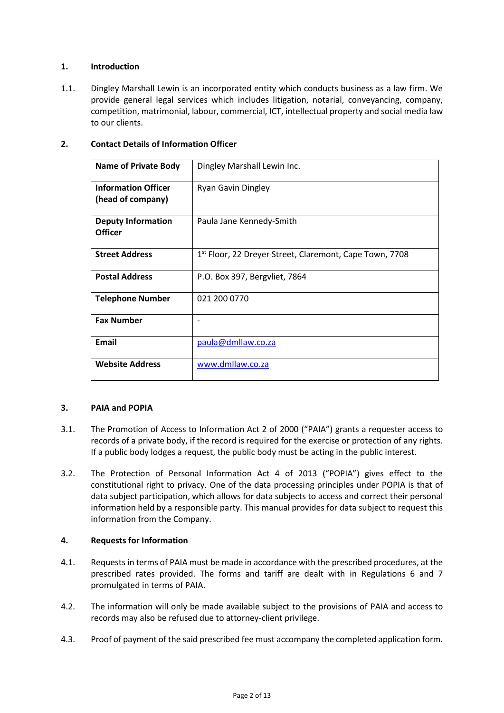## **1. Introduction**

1.1. Dingley Marshall Lewin is an incorporated entity which conducts business as a law firm. We provide general legal services which includes litigation, notarial, conveyancing, company, competition, matrimonial, labour, commercial, ICT, intellectual property and social media law to our clients.

| <b>Contact Details of Information Officer</b><br>2. |
|-----------------------------------------------------|
|-----------------------------------------------------|

| <b>Name of Private Body</b>                     | Dingley Marshall Lewin Inc.                                         |
|-------------------------------------------------|---------------------------------------------------------------------|
| <b>Information Officer</b><br>(head of company) | <b>Ryan Gavin Dingley</b>                                           |
| <b>Deputy Information</b><br><b>Officer</b>     | Paula Jane Kennedy-Smith                                            |
| <b>Street Address</b>                           | 1 <sup>st</sup> Floor, 22 Dreyer Street, Claremont, Cape Town, 7708 |
| <b>Postal Address</b>                           | P.O. Box 397, Bergyliet, 7864                                       |
| <b>Telephone Number</b>                         | 021 200 0770                                                        |
| <b>Fax Number</b>                               |                                                                     |
| <b>Email</b>                                    | paula@dmllaw.co.za                                                  |
| <b>Website Address</b>                          | www.dmllaw.co.za                                                    |

## <span id="page-1-1"></span><span id="page-1-0"></span>**3. PAIA and POPIA**

- 3.1. The Promotion of Access to Information Act 2 of 2000 ("PAIA") grants a requester access to records of a private body, if the record is required for the exercise or protection of any rights. If a public body lodges a request, the public body must be acting in the public interest.
- <span id="page-1-2"></span>3.2. The Protection of Personal Information Act 4 of 2013 ("POPIA") gives effect to the constitutional right to privacy. One of the data processing principles under POPIA is that of data subject participation, which allows for data subjects to access and correct their personal information held by a responsible party. This manual provides for data subject to request this information from the Company.

#### **4. Requests for Information**

- 4.1. Requests in terms of PAIA must be made in accordance with the prescribed procedures, at the prescribed rates provided. The forms and tariff are dealt with in Regulations 6 and 7 promulgated in terms of PAIA.
- 4.2. The information will only be made available subject to the provisions of PAIA and access to records may also be refused due to attorney-client privilege.
- 4.3. Proof of payment of the said prescribed fee must accompany the completed application form.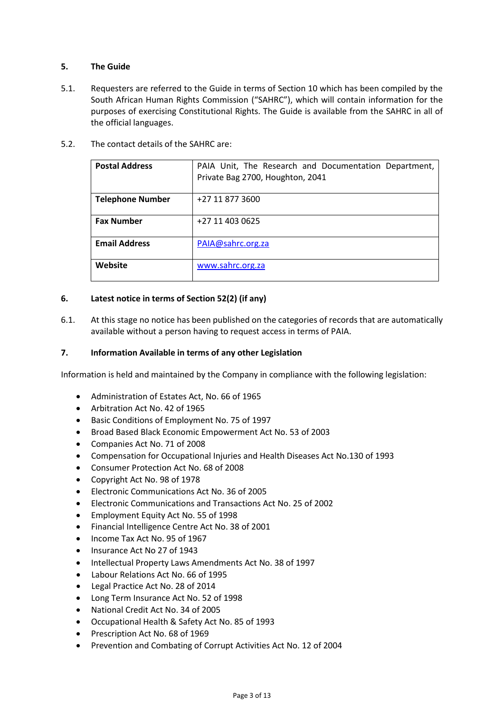## **5. The Guide**

- 5.1. Requesters are referred to the Guide in terms of Section 10 which has been compiled by the South African Human Rights Commission ("SAHRC"), which will contain information for the purposes of exercising Constitutional Rights. The Guide is available from the SAHRC in all of the official languages.
- 5.2. The contact details of the SAHRC are:

| <b>Postal Address</b>   | PAIA Unit, The Research and Documentation Department,<br>Private Bag 2700, Houghton, 2041 |
|-------------------------|-------------------------------------------------------------------------------------------|
| <b>Telephone Number</b> | +27 11 877 3600                                                                           |
| <b>Fax Number</b>       | +27 11 403 0625                                                                           |
| <b>Email Address</b>    | PAIA@sahrc.org.za                                                                         |
| Website                 | www.sahrc.org.za                                                                          |

## **6. Latest notice in terms of Section 52(2) (if any)**

6.1. At this stage no notice has been published on the categories of records that are automatically available without a person having to request access in terms of PAIA.

### **7. Information Available in terms of any other Legislation**

Information is held and maintained by the Company in compliance with the following legislation:

- Administration of Estates Act, No. 66 of 1965
- Arbitration Act No. 42 of 1965
- Basic Conditions of Employment No. 75 of 1997
- Broad Based Black Economic Empowerment Act No. 53 of 2003
- Companies Act No. 71 of 2008
- Compensation for Occupational Injuries and Health Diseases Act No.130 of 1993
- Consumer Protection Act No. 68 of 2008
- Copyright Act No. 98 of 1978
- Electronic Communications Act No. 36 of 2005
- Electronic Communications and Transactions Act No. 25 of 2002
- Employment Equity Act No. 55 of 1998
- Financial Intelligence Centre Act No. 38 of 2001
- Income Tax Act No. 95 of 1967
- Insurance Act No 27 of 1943
- Intellectual Property Laws Amendments Act No. 38 of 1997
- Labour Relations Act No. 66 of 1995
- Legal Practice Act No. 28 of 2014
- Long Term Insurance Act No. 52 of 1998
- National Credit Act No. 34 of 2005
- Occupational Health & Safety Act No. 85 of 1993
- Prescription Act No. 68 of 1969
- Prevention and Combating of Corrupt Activities Act No. 12 of 2004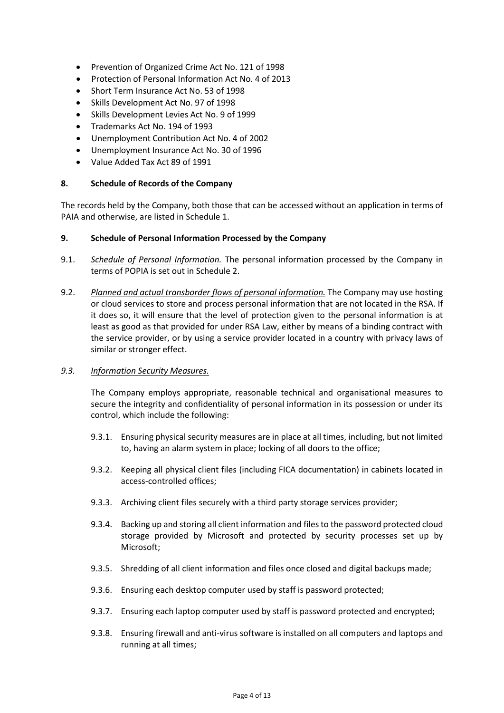- Prevention of Organized Crime Act No. 121 of 1998
- Protection of Personal Information Act No. 4 of 2013
- Short Term Insurance Act No. 53 of 1998
- Skills Development Act No. 97 of 1998
- Skills Development Levies Act No. 9 of 1999
- Trademarks Act No. 194 of 1993
- Unemployment Contribution Act No. 4 of 2002
- Unemployment Insurance Act No. 30 of 1996
- Value Added Tax Act 89 of 1991

#### **8. Schedule of Records of the Company**

The records held by the Company, both those that can be accessed without an application in terms of PAIA and otherwise, are listed i[n Schedule 1.](#page--1-8)

#### **9. Schedule of Personal Information Processed by the Company**

- 9.1. *Schedule of Personal Information.* The personal information processed by the Company in terms of POPIA is set out i[n Schedule 2.](#page--1-9)
- 9.2. *Planned and actual transborder flows of personal information.* The Company may use hosting or cloud services to store and process personal information that are not located in the RSA. If it does so, it will ensure that the level of protection given to the personal information is at least as good as that provided for under RSA Law, either by means of a binding contract with the service provider, or by using a service provider located in a country with privacy laws of similar or stronger effect.

#### *9.3. Information Security Measures.*

The Company employs appropriate, reasonable technical and organisational measures to secure the integrity and confidentiality of personal information in its possession or under its control, which include the following:

- 9.3.1. Ensuring physical security measures are in place at all times, including, but not limited to, having an alarm system in place; locking of all doors to the office;
- 9.3.2. Keeping all physical client files (including FICA documentation) in cabinets located in access-controlled offices;
- 9.3.3. Archiving client files securely with a third party storage services provider;
- 9.3.4. Backing up and storing all client information and files to the password protected cloud storage provided by Microsoft and protected by security processes set up by Microsoft;
- 9.3.5. Shredding of all client information and files once closed and digital backups made;
- 9.3.6. Ensuring each desktop computer used by staff is password protected;
- 9.3.7. Ensuring each laptop computer used by staff is password protected and encrypted;
- 9.3.8. Ensuring firewall and anti-virus software is installed on all computers and laptops and running at all times;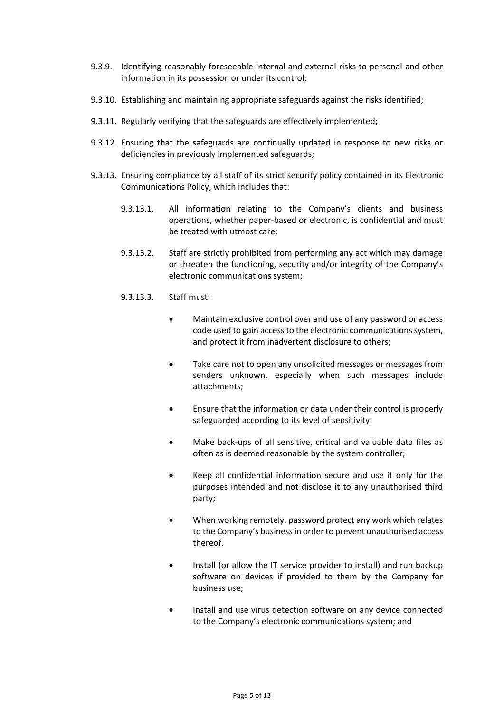- 9.3.9. Identifying reasonably foreseeable internal and external risks to personal and other information in its possession or under its control;
- 9.3.10. Establishing and maintaining appropriate safeguards against the risks identified;
- 9.3.11. Regularly verifying that the safeguards are effectively implemented;
- 9.3.12. Ensuring that the safeguards are continually updated in response to new risks or deficiencies in previously implemented safeguards;
- 9.3.13. Ensuring compliance by all staff of its strict security policy contained in its Electronic Communications Policy, which includes that:
	- 9.3.13.1. All information relating to the Company's clients and business operations, whether paper-based or electronic, is confidential and must be treated with utmost care;
	- 9.3.13.2. Staff are strictly prohibited from performing any act which may damage or threaten the functioning, security and/or integrity of the Company's electronic communications system;
	- 9.3.13.3. Staff must:
		- Maintain exclusive control over and use of any password or access code used to gain access to the electronic communications system, and protect it from inadvertent disclosure to others;
		- Take care not to open any unsolicited messages or messages from senders unknown, especially when such messages include attachments;
		- Ensure that the information or data under their control is properly safeguarded according to its level of sensitivity;
		- Make back-ups of all sensitive, critical and valuable data files as often as is deemed reasonable by the system controller;
		- Keep all confidential information secure and use it only for the purposes intended and not disclose it to any unauthorised third party;
		- When working remotely, password protect any work which relates to the Company's business in order to prevent unauthorised access thereof.
		- Install (or allow the IT service provider to install) and run backup software on devices if provided to them by the Company for business use;
		- Install and use virus detection software on any device connected to the Company's electronic communications system; and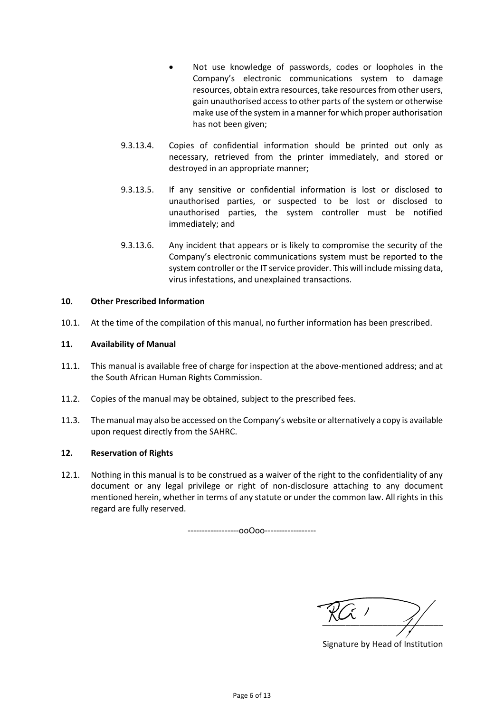- Not use knowledge of passwords, codes or loopholes in the Company's electronic communications system to damage resources, obtain extra resources, take resources from other users, gain unauthorised access to other parts of the system or otherwise make use of the system in a manner for which proper authorisation has not been given;
- 9.3.13.4. Copies of confidential information should be printed out only as necessary, retrieved from the printer immediately, and stored or destroyed in an appropriate manner;
- 9.3.13.5. If any sensitive or confidential information is lost or disclosed to unauthorised parties, or suspected to be lost or disclosed to unauthorised parties, the system controller must be notified immediately; and
- 9.3.13.6. Any incident that appears or is likely to compromise the security of the Company's electronic communications system must be reported to the system controller or the IT service provider. This will include missing data, virus infestations, and unexplained transactions.

## **10. Other Prescribed Information**

10.1. At the time of the compilation of this manual, no further information has been prescribed.

## **11. Availability of Manual**

- 11.1. This manual is available free of charge for inspection at the above-mentioned address; and at the South African Human Rights Commission.
- 11.2. Copies of the manual may be obtained, subject to the prescribed fees.
- 11.3. The manual may also be accessed on the Company's website or alternatively a copy is available upon request directly from the SAHRC.

#### **12. Reservation of Rights**

12.1. Nothing in this manual is to be construed as a waiver of the right to the confidentiality of any document or any legal privilege or right of non-disclosure attaching to any document mentioned herein, whether in terms of any statute or under the common law. All rights in this regard are fully reserved.

------------------ooOoo------------------

 $\frac{1}{\sqrt{2}}$ 

Signature by Head of Institution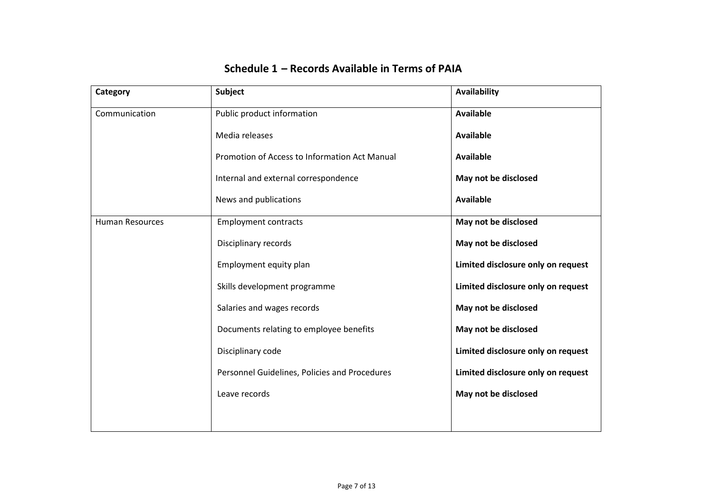| Category               | Subject                                       | Availability                       |
|------------------------|-----------------------------------------------|------------------------------------|
| Communication          | Public product information                    | <b>Available</b>                   |
|                        | Media releases                                | <b>Available</b>                   |
|                        | Promotion of Access to Information Act Manual | <b>Available</b>                   |
|                        | Internal and external correspondence          | May not be disclosed               |
|                        | News and publications                         | <b>Available</b>                   |
| <b>Human Resources</b> | <b>Employment contracts</b>                   | May not be disclosed               |
|                        | Disciplinary records                          | May not be disclosed               |
|                        | Employment equity plan                        | Limited disclosure only on request |
|                        | Skills development programme                  | Limited disclosure only on request |
|                        | Salaries and wages records                    | May not be disclosed               |
|                        | Documents relating to employee benefits       | May not be disclosed               |
|                        | Disciplinary code                             | Limited disclosure only on request |
|                        | Personnel Guidelines, Policies and Procedures | Limited disclosure only on request |
|                        | Leave records                                 | May not be disclosed               |
|                        |                                               |                                    |

# **Schedule 1 – Records Available in Terms of PAIA**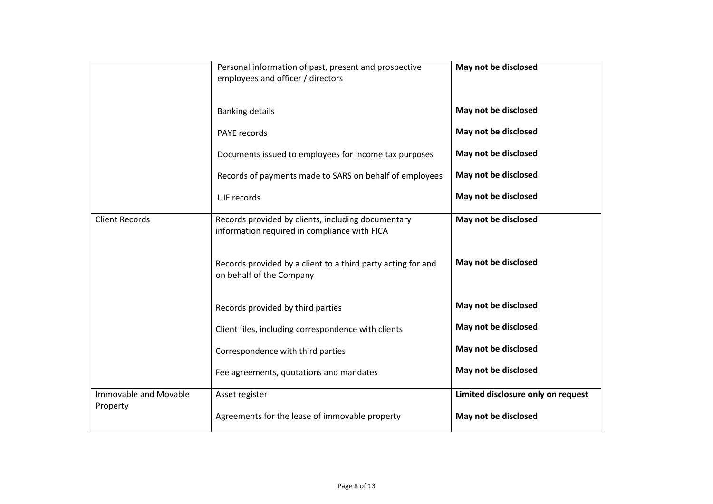|                       | Personal information of past, present and prospective<br>employees and officer / directors         | May not be disclosed               |
|-----------------------|----------------------------------------------------------------------------------------------------|------------------------------------|
|                       | <b>Banking details</b>                                                                             | May not be disclosed               |
|                       | PAYE records                                                                                       | May not be disclosed               |
|                       | Documents issued to employees for income tax purposes                                              | May not be disclosed               |
|                       | Records of payments made to SARS on behalf of employees                                            | May not be disclosed               |
|                       | UIF records                                                                                        | May not be disclosed               |
| <b>Client Records</b> | Records provided by clients, including documentary<br>information required in compliance with FICA | May not be disclosed               |
|                       | Records provided by a client to a third party acting for and<br>on behalf of the Company           | May not be disclosed               |
|                       | Records provided by third parties                                                                  | May not be disclosed               |
|                       | Client files, including correspondence with clients                                                | May not be disclosed               |
|                       | Correspondence with third parties                                                                  | May not be disclosed               |
|                       | Fee agreements, quotations and mandates                                                            | May not be disclosed               |
| Immovable and Movable | Asset register                                                                                     | Limited disclosure only on request |
| Property              | Agreements for the lease of immovable property                                                     | May not be disclosed               |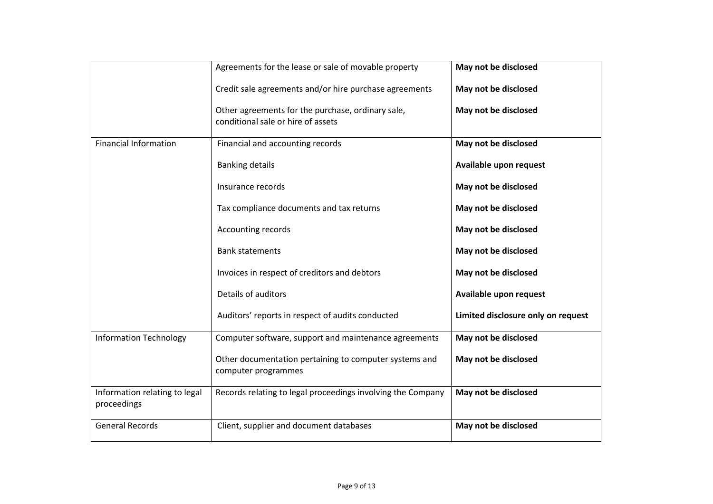|                                              | Agreements for the lease or sale of movable property                                    | May not be disclosed               |
|----------------------------------------------|-----------------------------------------------------------------------------------------|------------------------------------|
|                                              | Credit sale agreements and/or hire purchase agreements                                  | May not be disclosed               |
|                                              | Other agreements for the purchase, ordinary sale,<br>conditional sale or hire of assets | May not be disclosed               |
| <b>Financial Information</b>                 | Financial and accounting records                                                        | May not be disclosed               |
|                                              | <b>Banking details</b>                                                                  | Available upon request             |
|                                              | Insurance records                                                                       | May not be disclosed               |
|                                              | Tax compliance documents and tax returns                                                | May not be disclosed               |
|                                              | Accounting records                                                                      | May not be disclosed               |
|                                              | <b>Bank statements</b>                                                                  | May not be disclosed               |
|                                              | Invoices in respect of creditors and debtors                                            | May not be disclosed               |
|                                              | Details of auditors                                                                     | Available upon request             |
|                                              | Auditors' reports in respect of audits conducted                                        | Limited disclosure only on request |
| <b>Information Technology</b>                | Computer software, support and maintenance agreements                                   | May not be disclosed               |
|                                              | Other documentation pertaining to computer systems and<br>computer programmes           | May not be disclosed               |
| Information relating to legal<br>proceedings | Records relating to legal proceedings involving the Company                             | May not be disclosed               |
| <b>General Records</b>                       | Client, supplier and document databases                                                 | May not be disclosed               |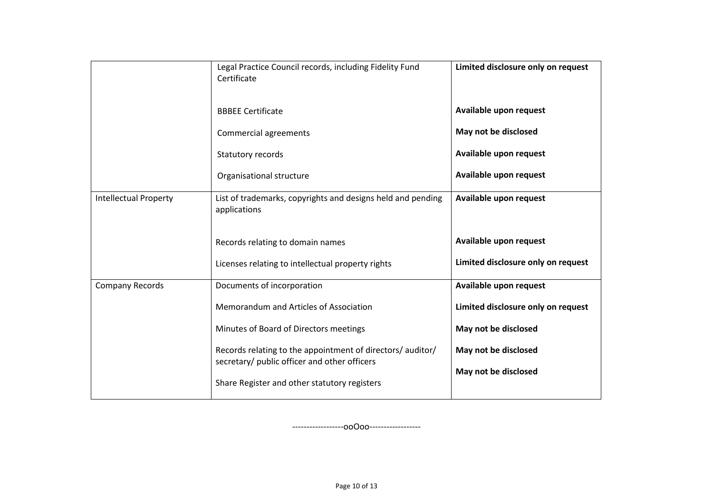|                              | Legal Practice Council records, including Fidelity Fund<br>Certificate                                     | Limited disclosure only on request |
|------------------------------|------------------------------------------------------------------------------------------------------------|------------------------------------|
|                              | <b>BBBEE Certificate</b>                                                                                   | Available upon request             |
|                              | Commercial agreements                                                                                      | May not be disclosed               |
|                              | Statutory records                                                                                          | Available upon request             |
|                              | Organisational structure                                                                                   | Available upon request             |
| <b>Intellectual Property</b> | List of trademarks, copyrights and designs held and pending<br>applications                                | Available upon request             |
|                              | Records relating to domain names                                                                           | Available upon request             |
|                              | Licenses relating to intellectual property rights                                                          | Limited disclosure only on request |
| <b>Company Records</b>       | Documents of incorporation                                                                                 | Available upon request             |
|                              | Memorandum and Articles of Association                                                                     | Limited disclosure only on request |
|                              | Minutes of Board of Directors meetings                                                                     | May not be disclosed               |
|                              | Records relating to the appointment of directors/ auditor/<br>secretary/ public officer and other officers | May not be disclosed               |
|                              | Share Register and other statutory registers                                                               | May not be disclosed               |

------------------ooOoo------------------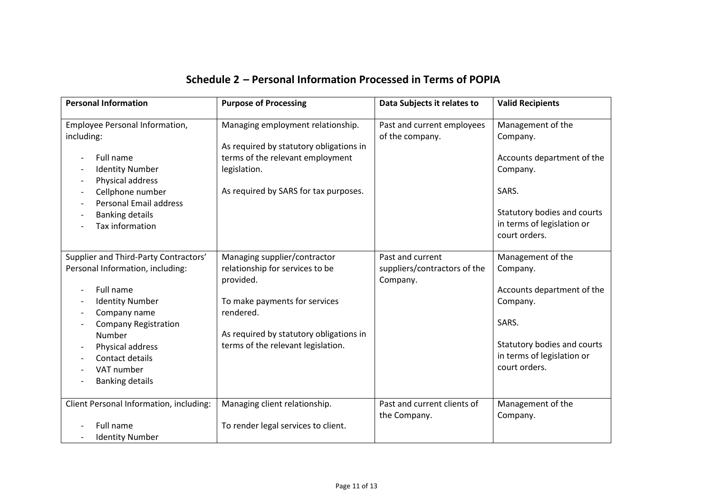|  | Schedule 2 - Personal Information Processed in Terms of POPIA |
|--|---------------------------------------------------------------|
|--|---------------------------------------------------------------|

| <b>Personal Information</b>                                                                                                                                                                                                                       | <b>Purpose of Processing</b>                                                                                                                                                                                | Data Subjects it relates to                                  | <b>Valid Recipients</b>                                                                                                                                        |
|---------------------------------------------------------------------------------------------------------------------------------------------------------------------------------------------------------------------------------------------------|-------------------------------------------------------------------------------------------------------------------------------------------------------------------------------------------------------------|--------------------------------------------------------------|----------------------------------------------------------------------------------------------------------------------------------------------------------------|
| Employee Personal Information,<br>including:<br>Full name<br><b>Identity Number</b><br>Physical address<br>Cellphone number<br><b>Personal Email address</b><br><b>Banking details</b><br>Tax information                                         | Managing employment relationship.<br>As required by statutory obligations in<br>terms of the relevant employment<br>legislation.<br>As required by SARS for tax purposes.                                   | Past and current employees<br>of the company.                | Management of the<br>Company.<br>Accounts department of the<br>Company.<br>SARS.<br>Statutory bodies and courts<br>in terms of legislation or<br>court orders. |
| Supplier and Third-Party Contractors'<br>Personal Information, including:<br>Full name<br><b>Identity Number</b><br>Company name<br>Company Registration<br>Number<br>Physical address<br>Contact details<br>VAT number<br><b>Banking details</b> | Managing supplier/contractor<br>relationship for services to be<br>provided.<br>To make payments for services<br>rendered.<br>As required by statutory obligations in<br>terms of the relevant legislation. | Past and current<br>suppliers/contractors of the<br>Company. | Management of the<br>Company.<br>Accounts department of the<br>Company.<br>SARS.<br>Statutory bodies and courts<br>in terms of legislation or<br>court orders. |
| Client Personal Information, including:<br>Full name<br><b>Identity Number</b>                                                                                                                                                                    | Managing client relationship.<br>To render legal services to client.                                                                                                                                        | Past and current clients of<br>the Company.                  | Management of the<br>Company.                                                                                                                                  |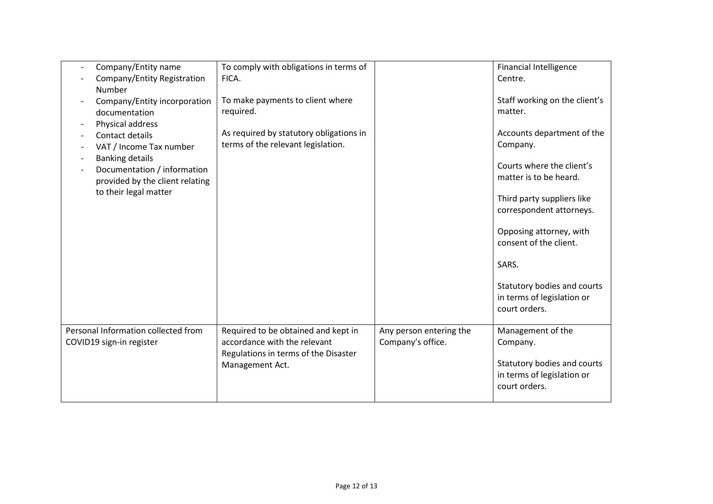| Number                   | Company/Entity name<br>Company/Entity Registration                                                                                                                                                                                   | To comply with obligations in terms of<br>FICA.                                                                                |                                              | <b>Financial Intelligence</b><br>Centre.                                                                                                                                                                                                                                                                                                        |
|--------------------------|--------------------------------------------------------------------------------------------------------------------------------------------------------------------------------------------------------------------------------------|--------------------------------------------------------------------------------------------------------------------------------|----------------------------------------------|-------------------------------------------------------------------------------------------------------------------------------------------------------------------------------------------------------------------------------------------------------------------------------------------------------------------------------------------------|
| ÷                        | Company/Entity incorporation<br>documentation<br>Physical address<br>Contact details<br>VAT / Income Tax number<br><b>Banking details</b><br>Documentation / information<br>provided by the client relating<br>to their legal matter | To make payments to client where<br>required.<br>As required by statutory obligations in<br>terms of the relevant legislation. |                                              | Staff working on the client's<br>matter.<br>Accounts department of the<br>Company.<br>Courts where the client's<br>matter is to be heard.<br>Third party suppliers like<br>correspondent attorneys.<br>Opposing attorney, with<br>consent of the client.<br>SARS.<br>Statutory bodies and courts<br>in terms of legislation or<br>court orders. |
| COVID19 sign-in register | Personal Information collected from                                                                                                                                                                                                  | Required to be obtained and kept in<br>accordance with the relevant<br>Regulations in terms of the Disaster<br>Management Act. | Any person entering the<br>Company's office. | Management of the<br>Company.<br>Statutory bodies and courts<br>in terms of legislation or<br>court orders.                                                                                                                                                                                                                                     |